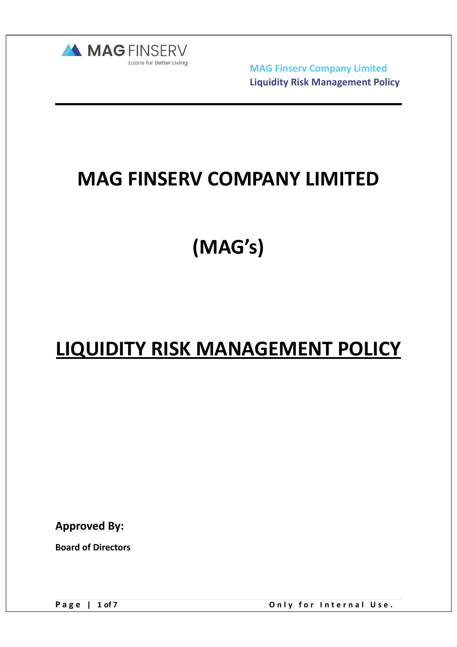

# **MAG FINSERV COMPANY LIMITED**

**(MAG's)** 

# **LIQUIDITY RISK MANAGEMENT POLICY**

**Approved By:** 

**Board of Directors** 

Page | 1 of 7 Conly for Internal Use.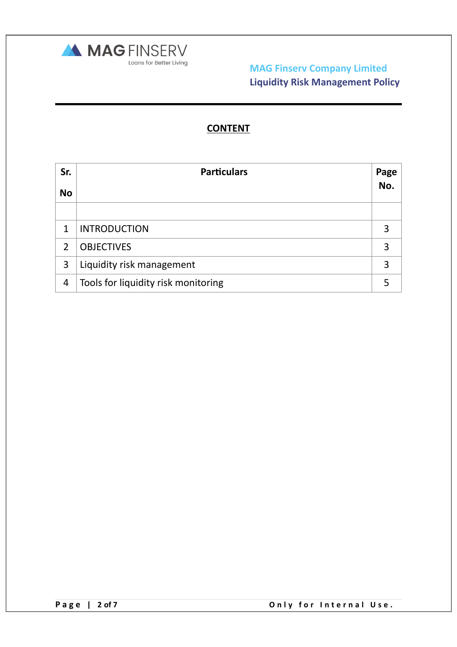

# **CONTENT**

| Sr.            | <b>Particulars</b>                  | Page |
|----------------|-------------------------------------|------|
| <b>No</b>      |                                     | No.  |
|                |                                     |      |
| $\mathbf{1}$   | <b>INTRODUCTION</b>                 | 3    |
| $\overline{2}$ | <b>OBJECTIVES</b>                   | 3    |
| 3              | Liquidity risk management           | 3    |
| 4              | Tools for liquidity risk monitoring |      |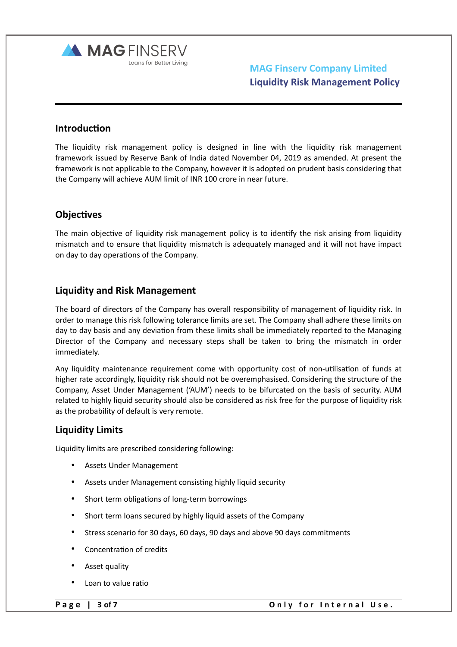

## **Introduction**

The liquidity risk management policy is designed in line with the liquidity risk management framework issued by Reserve Bank of India dated November 04, 2019 as amended. At present the framework is not applicable to the Company, however it is adopted on prudent basis considering that the Company will achieve AUM limit of INR 100 crore in near future.

## **Objectives**

The main objective of liquidity risk management policy is to identify the risk arising from liquidity mismatch and to ensure that liquidity mismatch is adequately managed and it will not have impact on day to day operations of the Company.

## **Liquidity and Risk Management**

The board of directors of the Company has overall responsibility of management of liquidity risk. In order to manage this risk following tolerance limits are set. The Company shall adhere these limits on day to day basis and any deviation from these limits shall be immediately reported to the Managing Director of the Company and necessary steps shall be taken to bring the mismatch in order immediately.

Any liquidity maintenance requirement come with opportunity cost of non-utilisation of funds at higher rate accordingly, liquidity risk should not be overemphasised. Considering the structure of the Company, Asset Under Management ('AUM') needs to be bifurcated on the basis of security. AUM related to highly liquid security should also be considered as risk free for the purpose of liquidity risk as the probability of default is very remote.

## **Liquidity Limits**

Liquidity limits are prescribed considering following:

- Assets Under Management
- Assets under Management consisting highly liquid security
- Short term obligations of long-term borrowings
- Short term loans secured by highly liquid assets of the Company
- Stress scenario for 30 days, 60 days, 90 days and above 90 days commitments
- Concentration of credits
- Asset quality
- Loan to value ratio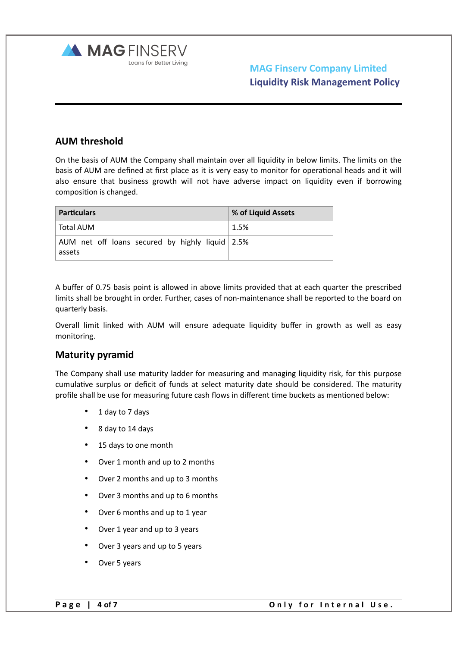

# **AUM threshold**

On the basis of AUM the Company shall maintain over all liquidity in below limits. The limits on the basis of AUM are defined at first place as it is very easy to monitor for operational heads and it will also ensure that business growth will not have adverse impact on liquidity even if borrowing composition is changed.

| <b>Particulars</b>                                        | % of Liquid Assets |
|-----------------------------------------------------------|--------------------|
| Total AUM                                                 | 1.5%               |
| AUM net off loans secured by highly liquid 2.5%<br>assets |                    |

A buffer of 0.75 basis point is allowed in above limits provided that at each quarter the prescribed limits shall be brought in order. Further, cases of non-maintenance shall be reported to the board on quarterly basis.

Overall limit linked with AUM will ensure adequate liquidity buffer in growth as well as easy monitoring.

## **Maturity pyramid**

The Company shall use maturity ladder for measuring and managing liquidity risk, for this purpose cumulative surplus or deficit of funds at select maturity date should be considered. The maturity profile shall be use for measuring future cash flows in different time buckets as mentioned below:

- 1 day to 7 days
- 8 day to 14 days
- 15 days to one month
- Over 1 month and up to 2 months
- Over 2 months and up to 3 months
- Over 3 months and up to 6 months
- Over 6 months and up to 1 year
- Over 1 year and up to 3 years
- Over 3 years and up to 5 years
- Over 5 years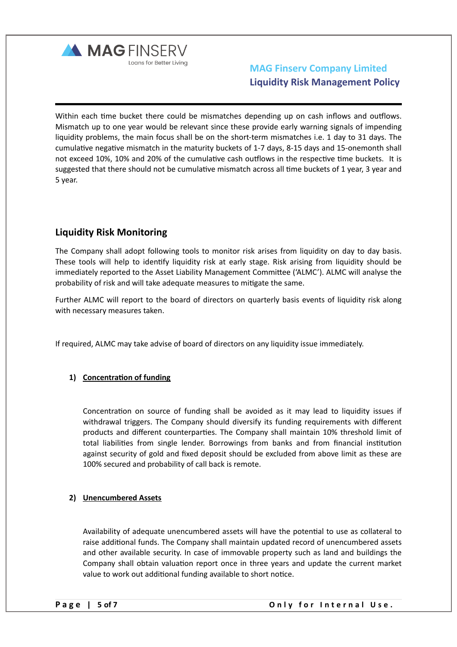

Within each time bucket there could be mismatches depending up on cash inflows and outflows. Mismatch up to one year would be relevant since these provide early warning signals of impending liquidity problems, the main focus shall be on the short-term mismatches i.e. 1 day to 31 days. The cumulative negative mismatch in the maturity buckets of 1-7 days, 8-15 days and 15-onemonth shall not exceed 10%, 10% and 20% of the cumulative cash outflows in the respective time buckets. It is suggested that there should not be cumulative mismatch across all time buckets of 1 year, 3 year and 5 year.

# **Liquidity Risk Monitoring**

The Company shall adopt following tools to monitor risk arises from liquidity on day to day basis. These tools will help to identify liquidity risk at early stage. Risk arising from liquidity should be immediately reported to the Asset Liability Management Committee ('ALMC'). ALMC will analyse the probability of risk and will take adequate measures to mitigate the same.

Further ALMC will report to the board of directors on quarterly basis events of liquidity risk along with necessary measures taken.

If required, ALMC may take advise of board of directors on any liquidity issue immediately.

### **1) Concentration of funding**

Concentration on source of funding shall be avoided as it may lead to liquidity issues if withdrawal triggers. The Company should diversify its funding requirements with different products and different counterparties. The Company shall maintain 10% threshold limit of total liabilities from single lender. Borrowings from banks and from financial institution against security of gold and fixed deposit should be excluded from above limit as these are 100% secured and probability of call back is remote.

#### **2) Unencumbered Assets**

Availability of adequate unencumbered assets will have the potential to use as collateral to raise additional funds. The Company shall maintain updated record of unencumbered assets and other available security. In case of immovable property such as land and buildings the Company shall obtain valuation report once in three years and update the current market value to work out additional funding available to short notice.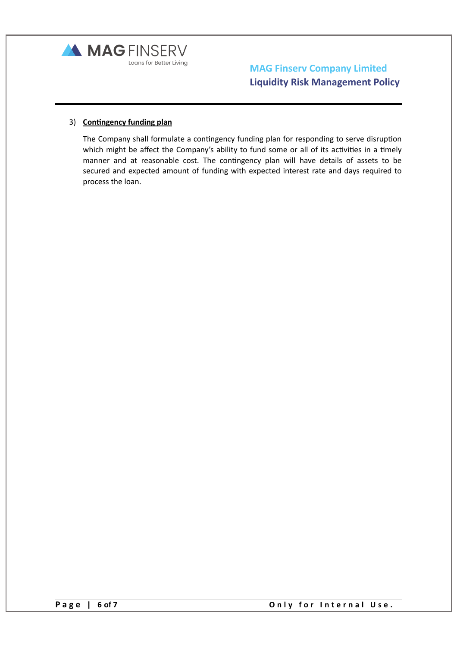

#### 3) **Contingency funding plan**

The Company shall formulate a contingency funding plan for responding to serve disruption which might be affect the Company's ability to fund some or all of its activities in a timely manner and at reasonable cost. The contingency plan will have details of assets to be secured and expected amount of funding with expected interest rate and days required to process the loan.